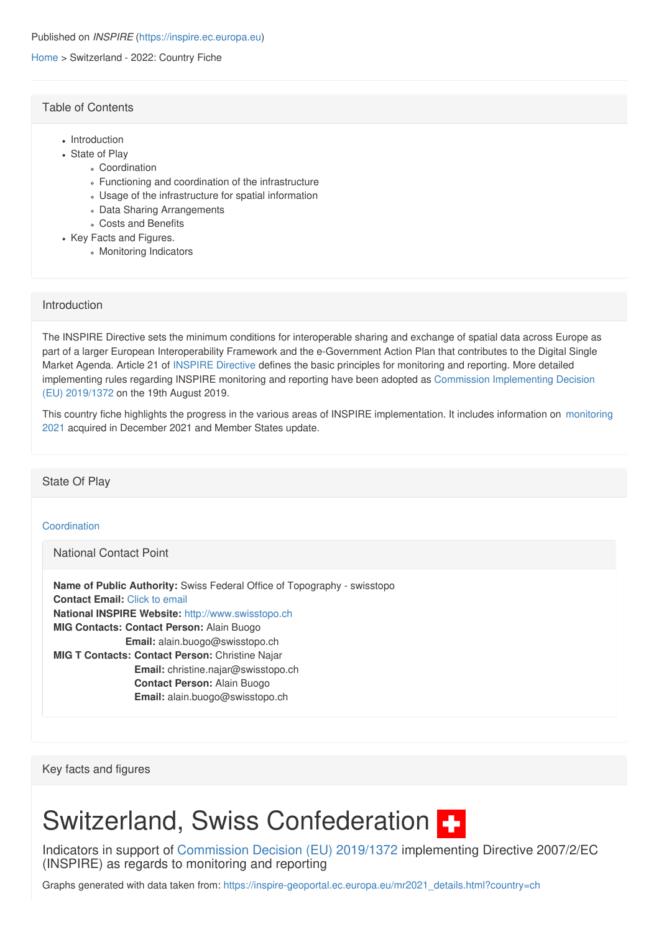#### [Home](https://inspire.ec.europa.eu/) > Switzerland - 2022: Country Fiche

## Table of [Contents](https://inspire.ec.europa.eu/country-fiche/switzerland-2022-country-fiche#)

- Introduction
- State of Play
	- Coordination
	- Functioning and coordination of the infrastructure
	- Usage of the infrastructure for spatial information
	- Data Sharing Arrangements
	- Costs and Benefits
- Key Facts and Figures.
	- Monitoring Indicators

## [Introduction](https://inspire.ec.europa.eu/country-fiche/switzerland-2022-country-fiche#)

The INSPIRE Directive sets the minimum conditions for interoperable sharing and exchange of spatial data across Europe as part of a larger European Interoperability Framework and the e-Government Action Plan that contributes to the Digital Single Market Agenda. Article 21 of [INSPIRE](https://eur-lex.europa.eu/eli/dir/2007/2/oj) Directive defines the basic principles for monitoring and reporting. More detailed implementing rules regarding INSPIRE monitoring and reporting have been adopted as Commission [Implementing](https://eur-lex.europa.eu/eli/dec_impl/2019/1372/oj) Decision (EU) 2019/1372 on the 19th August 2019.

This country fiche highlights the progress in the various areas of INSPIRE [implementation.](https://inspire-geoportal.ec.europa.eu/mr2021.html) It includes information on monitoring 2021 acquired in December 2021 and Member States update.

## [State](https://inspire.ec.europa.eu/country-fiche/switzerland-2022-country-fiche#) Of Play

## [Coordination](https://inspire.ec.europa.eu/country-fiche/switzerland-2022-country-fiche#)

[National](https://inspire.ec.europa.eu/country-fiche/switzerland-2022-country-fiche#) Contact Point

**Name of Public Authority:** Swiss Federal Office of Topography - swisstopo **Contact Email:** Click to [email](mailto:alain.buogo@swisstopo.ch) **National INSPIRE Website:** <http://www.swisstopo.ch> **MIG Contacts: Contact Person:** Alain Buogo **MIG T Contacts: Contact Person:** Christine Najar **Email:** alain.buogo@swisstopo.ch **Email:** christine.najar@swisstopo.ch **Contact Person:** Alain Buogo **Email:** alain.buogo@swisstopo.ch

Key facts and [figures](https://inspire.ec.europa.eu/country-fiche/switzerland-2022-country-fiche#)

# Switzerland, Swiss Confederation  $\blacksquare$

Indicators in support of [Commission](https://eur-lex.europa.eu/eli/dec_impl/2019/1372/oj) Decision (EU) 2019/1372 implementing Directive 2007/2/EC (INSPIRE) as regards to monitoring and reporting

Graphs generated with data taken from: [https://inspire-geoportal.ec.europa.eu/mr2021\\_details.html?country=ch](https://inspire-geoportal.ec.europa.eu/mr2021_details.html?country=ch)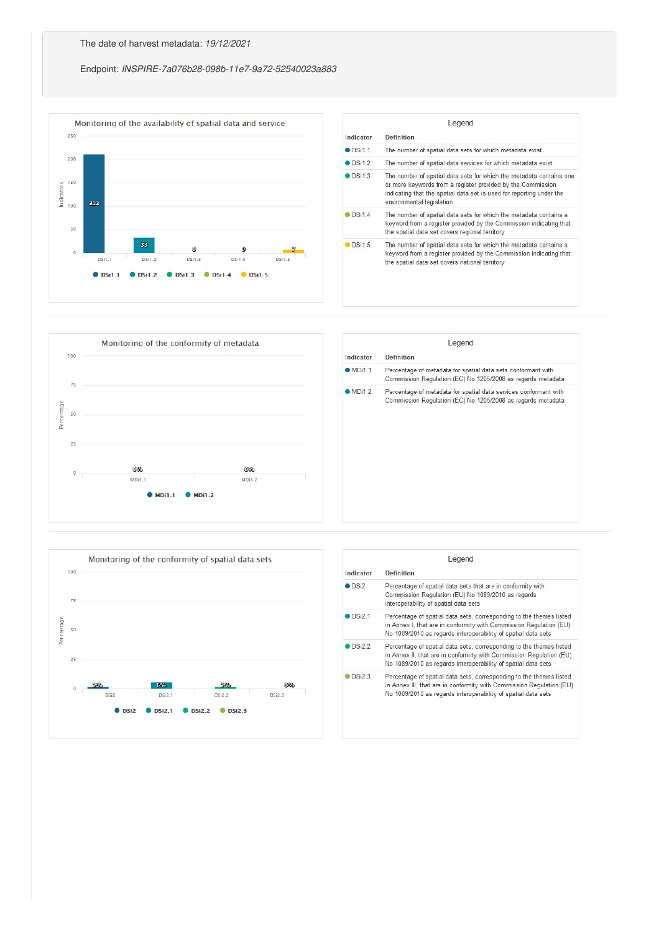## Endpoint: *INSPIRE-7a076b28-098b-11e7-9a72-52540023a883*







| Indicator        | <b>Definition</b>                                                                                                                                                                                            |
|------------------|--------------------------------------------------------------------------------------------------------------------------------------------------------------------------------------------------------------|
| <b>ODSi2</b>     | Percentage of spatial data sets that are in conformity with<br>Commission Regulation (EU) No 1089/2010 as regards<br>interoperability of spatial data sets                                                   |
| $\bullet$ DSi2.1 | Percentage of spatial data sets, corresponding to the themes listed<br>in Annex I, that are in conformity with Commission Regulation (EU)<br>No 1089/2010 as regards interoperability of spatial data sets   |
| <b>DSi22</b>     | Percentage of spatial data sets, corresponding to the themes listed<br>in Annex II, that are in conformity with Commission Regulation (EU)<br>No 1089/2010 as regards interoperability of spatial data sets  |
| DSi2.3           | Percentage of spatial data sets, corresponding to the themes listed<br>in Annex III, that are in conformity with Commission Regulation (EU)<br>No 1089/2010 as regards interoperability of spatial data sets |